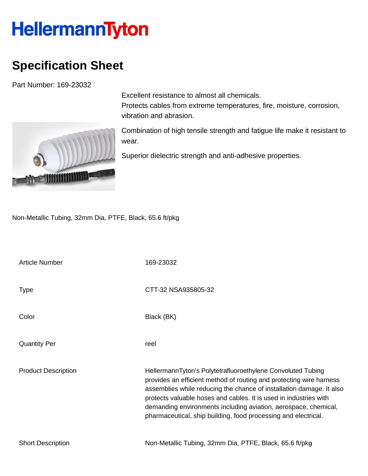## HellermannTyton

## **Specification Sheet**

Part Number: 169-23032



Excellent resistance to almost all chemicals. Protects cables from extreme temperatures, fire, moisture, corrosion, vibration and abrasion.

Combination of high tensile strength and fatigue life make it resistant to wear.

Superior dielectric strength and anti-adhesive properties.

Non-Metallic Tubing, 32mm Dia, PTFE, Black, 65.6 ft/pkg

| <b>Article Number</b>      | 169-23032                                                                                                                                                                                                                                                                                                                                                                                                            |
|----------------------------|----------------------------------------------------------------------------------------------------------------------------------------------------------------------------------------------------------------------------------------------------------------------------------------------------------------------------------------------------------------------------------------------------------------------|
| <b>Type</b>                | CTT-32 NSA935805-32                                                                                                                                                                                                                                                                                                                                                                                                  |
| Color                      | Black (BK)                                                                                                                                                                                                                                                                                                                                                                                                           |
| <b>Quantity Per</b>        | reel                                                                                                                                                                                                                                                                                                                                                                                                                 |
| <b>Product Description</b> | HellermannTyton's Polytetrafluoroethylene Convoluted Tubing<br>provides an efficient method of routing and protecting wire harness<br>assemblies while reducing the chance of installation damage. It also<br>protects valuable hoses and cables. It is used in industries with<br>demanding environments including aviation, aerospace, chemical,<br>pharmaceutical, ship building, food processing and electrical. |
| <b>Short Description</b>   | Non-Metallic Tubing, 32mm Dia, PTFE, Black, 65.6 ft/pkg                                                                                                                                                                                                                                                                                                                                                              |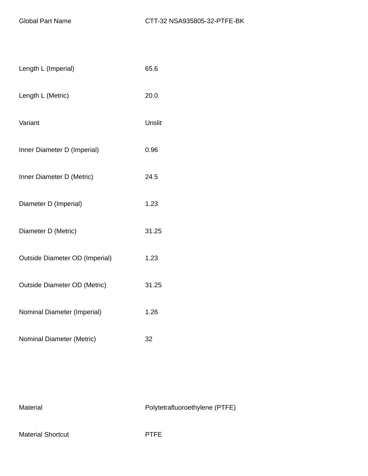| Length L (Imperial)            | 65.6   |
|--------------------------------|--------|
| Length L (Metric)              | 20.0   |
| Variant                        | Unslit |
| Inner Diameter D (Imperial)    | 0.96   |
| Inner Diameter D (Metric)      | 24.5   |
| Diameter D (Imperial)          | 1.23   |
| Diameter D (Metric)            | 31.25  |
| Outside Diameter OD (Imperial) | 1.23   |
| Outside Diameter OD (Metric)   | 31.25  |
| Nominal Diameter (Imperial)    | 1.26   |
| Nominal Diameter (Metric)      | 32     |

Material Material Polytetrafluoroethylene (PTFE)

Material Shortcut **PTFE**